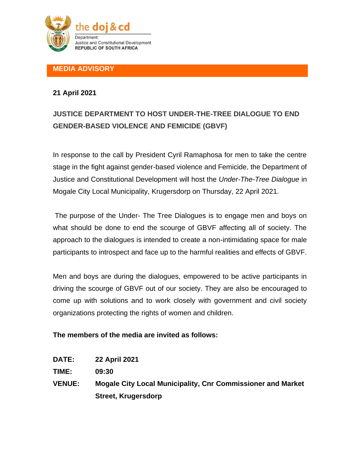

## **MEDIA ADVISORY**

## **21 April 2021**

## **JUSTICE DEPARTMENT TO HOST UNDER-THE-TREE DIALOGUE TO END GENDER-BASED VIOLENCE AND FEMICIDE (GBVF)**

In response to the call by President Cyril Ramaphosa for men to take the centre stage in the fight against gender-based violence and Femicide, the Department of Justice and Constitutional Development will host the *Under-The-Tree Dialogue* in Mogale City Local Municipality, Krugersdorp on Thursday, 22 April 2021.

The purpose of the Under- The Tree Dialogues is to engage men and boys on what should be done to end the scourge of GBVF affecting all of society. The approach to the dialogues is intended to create a non-intimidating space for male participants to introspect and face up to the harmful realities and effects of GBVF.

Men and boys are during the dialogues, empowered to be active participants in driving the scourge of GBVF out of our society. They are also be encouraged to come up with solutions and to work closely with government and civil society organizations protecting the rights of women and children.

## **The members of the media are invited as follows:**

- **DATE: 22 April 2021**
- **TIME: 09:30**
- **VENUE: Mogale City Local Municipality, Cnr Commissioner and Market Street, Krugersdorp**